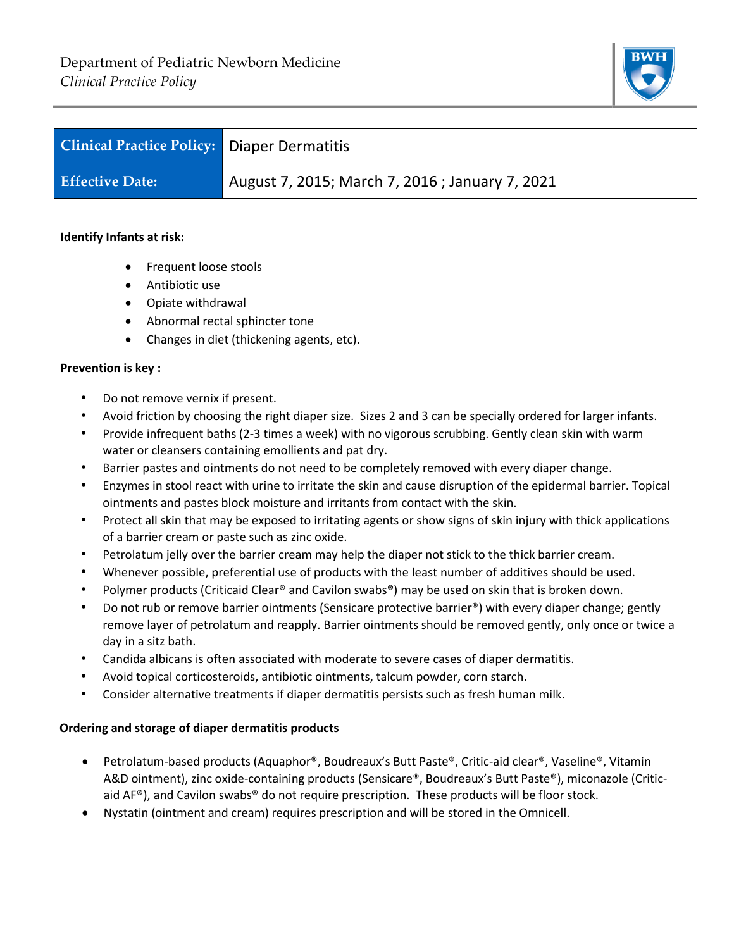

| <b>Clinical Practice Policy: Diaper Dermatitis</b> |                                                 |
|----------------------------------------------------|-------------------------------------------------|
| <b>Effective Date:</b>                             | August 7, 2015; March 7, 2016 ; January 7, 2021 |

## **Identify Infants at risk:**

- Frequent loose stools
- Antibiotic use
- Opiate withdrawal
- Abnormal rectal sphincter tone
- Changes in diet (thickening agents, etc).

## **Prevention is key :**

- Do not remove vernix if present.
- Avoid friction by choosing the right diaper size. Sizes 2 and 3 can be specially ordered for larger infants.
- Provide infrequent baths (2-3 times a week) with no vigorous scrubbing. Gently clean skin with warm water or cleansers containing emollients and pat dry.
- Barrier pastes and ointments do not need to be completely removed with every diaper change.
- Enzymes in stool react with urine to irritate the skin and cause disruption of the epidermal barrier. Topical ointments and pastes block moisture and irritants from contact with the skin.
- Protect all skin that may be exposed to irritating agents or show signs of skin injury with thick applications of a barrier cream or paste such as zinc oxide.
- Petrolatum jelly over the barrier cream may help the diaper not stick to the thick barrier cream.
- Whenever possible, preferential use of products with the least number of additives should be used.
- Polymer products (Criticaid Clear® and Cavilon swabs®) may be used on skin that is broken down.
- Do not rub or remove barrier ointments (Sensicare protective barrier®) with every diaper change; gently remove layer of petrolatum and reapply. Barrier ointments should be removed gently, only once or twice a day in a sitz bath.
- Candida albicans is often associated with moderate to severe cases of diaper dermatitis.
- Avoid topical corticosteroids, antibiotic ointments, talcum powder, corn starch.
- Consider alternative treatments if diaper dermatitis persists such as fresh human milk.

## **Ordering and storage of diaper dermatitis products**

- Petrolatum-based products (Aquaphor®, Boudreaux's Butt Paste®, Critic-aid clear®, Vaseline®, Vitamin A&D ointment), zinc oxide-containing products (Sensicare®, Boudreaux's Butt Paste®), miconazole (Criticaid AF®), and Cavilon swabs® do not require prescription. These products will be floor stock.
- Nystatin (ointment and cream) requires prescription and will be stored in the Omnicell.